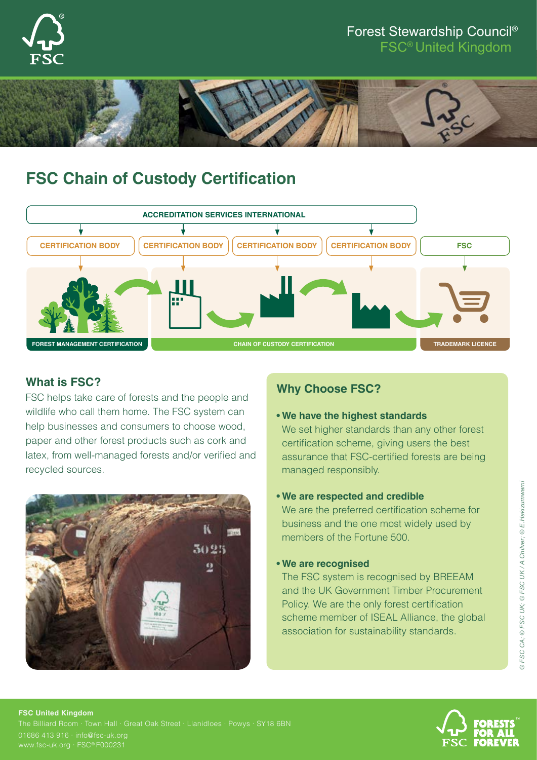

## Forest Stewardship Council®

FSC® United Kingdom



# **FSC Chain of Custody Certification**



### **What is FSC?**

FSC helps take care of forests and the people and wildlife who call them home. The FSC system can help businesses and consumers to choose wood, paper and other forest products such as cork and latex, from well-managed forests and/or verified and recycled sources.



### **Why Choose FSC?**

#### **• We have the highest standards**

We set higher standards than any other forest certification scheme, giving users the best assurance that FSC-certified forests are being managed responsibly.

#### **• We are respected and credible**

We are the preferred certification scheme for business and the one most widely used by members of the Fortune 500.

#### **• We are recognised**

The FSC system is recognised by BREEAM and the UK Government Timber Procurement Policy. We are the only forest certification scheme member of ISEAL Alliance, the global association for sustainability standards.